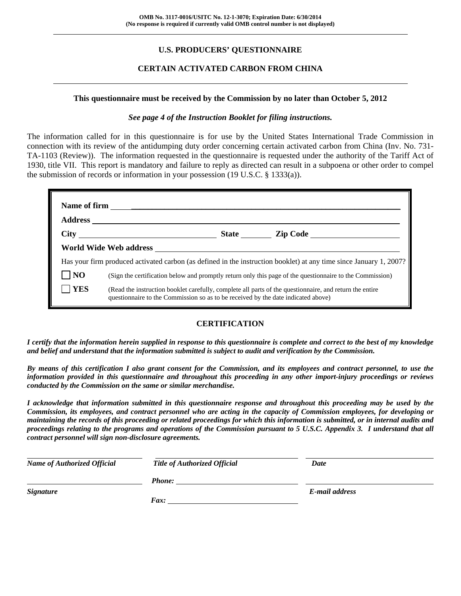## **U.S. PRODUCERS' QUESTIONNAIRE**

## **CERTAIN ACTIVATED CARBON FROM CHINA**

#### **This questionnaire must be received by the Commission by no later than October 5, 2012**

#### *See page 4 of the Instruction Booklet for filing instructions.*

The information called for in this questionnaire is for use by the United States International Trade Commission in connection with its review of the antidumping duty order concerning certain activated carbon from China (Inv. No. 731- TA-1103 (Review)). The information requested in the questionnaire is requested under the authority of the Tariff Act of 1930, title VII. This report is mandatory and failure to reply as directed can result in a subpoena or other order to compel the submission of records or information in your possession (19 U.S.C. § 1333(a)).

|                |                                                                                   |  | State <u>Lip Code</u>                                                                                              |  |  |
|----------------|-----------------------------------------------------------------------------------|--|--------------------------------------------------------------------------------------------------------------------|--|--|
|                | World Wide Web address <b>Example 20</b>                                          |  |                                                                                                                    |  |  |
|                |                                                                                   |  | Has your firm produced activated carbon (as defined in the instruction booklet) at any time since January 1, 2007? |  |  |
| N <sub>O</sub> |                                                                                   |  | (Sign the certification below and promptly return only this page of the questionnaire to the Commission)           |  |  |
| <b>YES</b>     | questionnaire to the Commission so as to be received by the date indicated above) |  | (Read the instruction booklet carefully, complete all parts of the questionnaire, and return the entire            |  |  |

## **CERTIFICATION**

*I certify that the information herein supplied in response to this questionnaire is complete and correct to the best of my knowledge and belief and understand that the information submitted is subject to audit and verification by the Commission.* 

*By means of this certification I also grant consent for the Commission, and its employees and contract personnel, to use the information provided in this questionnaire and throughout this proceeding in any other import-injury proceedings or reviews conducted by the Commission on the same or similar merchandise.* 

*I acknowledge that information submitted in this questionnaire response and throughout this proceeding may be used by the Commission, its employees, and contract personnel who are acting in the capacity of Commission employees, for developing or maintaining the records of this proceeding or related proceedings for which this information is submitted, or in internal audits and proceedings relating to the programs and operations of the Commission pursuant to 5 U.S.C. Appendix 3. I understand that all contract personnel will sign non-disclosure agreements.* 

| <b>Name of Authorized Official</b> | <b>Title of Authorized Official</b> | Date           |  |
|------------------------------------|-------------------------------------|----------------|--|
|                                    | <b>Phone:</b>                       |                |  |
| <b>Signature</b>                   |                                     | E-mail address |  |
|                                    | Fax:                                |                |  |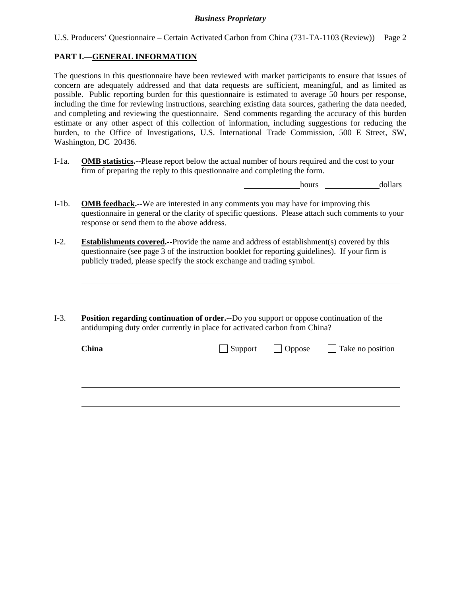| U.S. Producers' Questionnaire – Certain Activated Carbon from China (731-TA-1103 (Review)) Page 2 |  |  |  |  |
|---------------------------------------------------------------------------------------------------|--|--|--|--|
|                                                                                                   |  |  |  |  |

## **PART I.—GENERAL INFORMATION**

l

The questions in this questionnaire have been reviewed with market participants to ensure that issues of concern are adequately addressed and that data requests are sufficient, meaningful, and as limited as possible. Public reporting burden for this questionnaire is estimated to average 50 hours per response, including the time for reviewing instructions, searching existing data sources, gathering the data needed, and completing and reviewing the questionnaire. Send comments regarding the accuracy of this burden estimate or any other aspect of this collection of information, including suggestions for reducing the burden, to the Office of Investigations, U.S. International Trade Commission, 500 E Street, SW, Washington, DC 20436.

I-1a. **OMB statistics.--**Please report below the actual number of hours required and the cost to your firm of preparing the reply to this questionnaire and completing the form.

hours dollars

- I-1b. **OMB feedback.--**We are interested in any comments you may have for improving this questionnaire in general or the clarity of specific questions. Please attach such comments to your response or send them to the above address.
- I-2. **Establishments covered.--**Provide the name and address of establishment(s) covered by this questionnaire (see page 3 of the instruction booklet for reporting guidelines). If your firm is publicly traded, please specify the stock exchange and trading symbol.
- I-3. **Position regarding continuation of order.--**Do you support or oppose continuation of the antidumping duty order currently in place for activated carbon from China?

| <b>China</b> |  | $\Box$ Support $\Box$ Oppose $\Box$ Take no position |
|--------------|--|------------------------------------------------------|
|              |  |                                                      |
|              |  |                                                      |
|              |  |                                                      |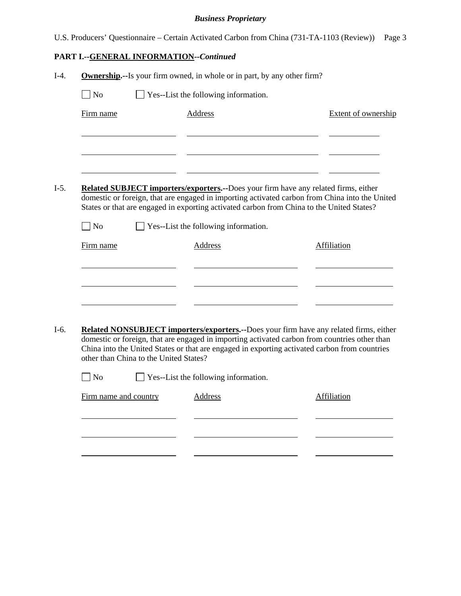U.S. Producers' Questionnaire – Certain Activated Carbon from China (731-TA-1103 (Review)) Page 3

# **PART I.--GENERAL INFORMATION***--Continued*

| $\exists$ No                           | Yes--List the following information.        |                                                                                                                                                                                                                                                                                            |
|----------------------------------------|---------------------------------------------|--------------------------------------------------------------------------------------------------------------------------------------------------------------------------------------------------------------------------------------------------------------------------------------------|
| Firm name                              | <b>Address</b>                              | Extent of ownership                                                                                                                                                                                                                                                                        |
|                                        |                                             |                                                                                                                                                                                                                                                                                            |
|                                        |                                             | <b>Related SUBJECT importers/exporters.</b> --Does your firm have any related firms, either<br>domestic or foreign, that are engaged in importing activated carbon from China into the United<br>States or that are engaged in exporting activated carbon from China to the United States? |
| N <sub>o</sub>                         | Yes--List the following information.        |                                                                                                                                                                                                                                                                                            |
| Firm name                              | <b>Address</b>                              | <b>Affiliation</b>                                                                                                                                                                                                                                                                         |
|                                        |                                             |                                                                                                                                                                                                                                                                                            |
| other than China to the United States? |                                             | Related NONSUBJECT importers/exporters.--Does your firm have any related firms, either<br>domestic or foreign, that are engaged in importing activated carbon from countries other than<br>China into the United States or that are engaged in exporting activated carbon from countries   |
| No                                     | $\Box$ Yes--List the following information. |                                                                                                                                                                                                                                                                                            |
|                                        | <b>Address</b>                              | Affiliation                                                                                                                                                                                                                                                                                |
| Firm name and country                  |                                             |                                                                                                                                                                                                                                                                                            |
|                                        |                                             |                                                                                                                                                                                                                                                                                            |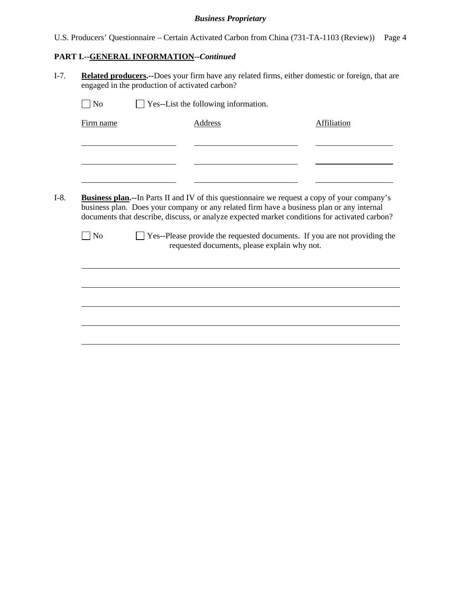U.S. Producers' Questionnaire – Certain Activated Carbon from China (731-TA-1103 (Review)) Page 4

## **PART I.--GENERAL INFORMATION***--Continued*

I-7. **Related producers.--**Does your firm have any related firms, either domestic or foreign, that are engaged in the production of activated carbon?

| Firm name         | Address                                                                                                                                                                                    | Affiliation                                                                                  |
|-------------------|--------------------------------------------------------------------------------------------------------------------------------------------------------------------------------------------|----------------------------------------------------------------------------------------------|
|                   |                                                                                                                                                                                            |                                                                                              |
|                   |                                                                                                                                                                                            |                                                                                              |
|                   |                                                                                                                                                                                            |                                                                                              |
|                   |                                                                                                                                                                                            |                                                                                              |
|                   |                                                                                                                                                                                            |                                                                                              |
|                   | business plan. Does your company or any related firm have a business plan or any internal<br>documents that describe, discuss, or analyze expected market conditions for activated carbon? | Business plan.--In Parts II and IV of this questionnaire we request a copy of your company's |
| $\blacksquare$ No | Yes--Please provide the requested documents. If you are not providing the<br>requested documents, please explain why not.                                                                  |                                                                                              |
|                   |                                                                                                                                                                                            |                                                                                              |
|                   |                                                                                                                                                                                            |                                                                                              |
|                   |                                                                                                                                                                                            |                                                                                              |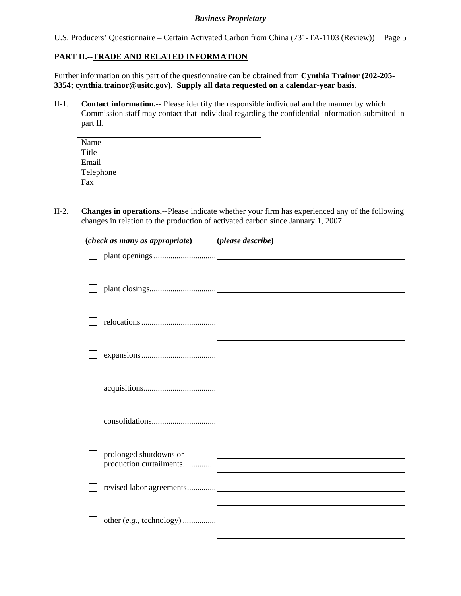U.S. Producers' Questionnaire – Certain Activated Carbon from China (731-TA-1103 (Review)) Page 5

## **PART II.--TRADE AND RELATED INFORMATION**

Further information on this part of the questionnaire can be obtained from **Cynthia Trainor (202-205- 3354; cynthia.trainor@usitc.gov)**. **Supply all data requested on a calendar-year basis**.

II-1. **Contact information.**-- Please identify the responsible individual and the manner by which Commission staff may contact that individual regarding the confidential information submitted in part II.

| Name      |  |
|-----------|--|
| Title     |  |
| Email     |  |
| Telephone |  |
| Fax       |  |

II-2. **Changes in operations.--**Please indicate whether your firm has experienced any of the following changes in relation to the production of activated carbon since January 1, 2007.

| (check as many as appropriate) (please describe) |                                                                   |
|--------------------------------------------------|-------------------------------------------------------------------|
|                                                  |                                                                   |
|                                                  |                                                                   |
|                                                  |                                                                   |
|                                                  |                                                                   |
|                                                  |                                                                   |
|                                                  |                                                                   |
|                                                  |                                                                   |
|                                                  |                                                                   |
|                                                  |                                                                   |
|                                                  |                                                                   |
|                                                  |                                                                   |
|                                                  |                                                                   |
| prolonged shutdowns or                           | <u> 1989 - Johann Stein, mars an de British Barbara (b. 1989)</u> |
| production curtailments                          |                                                                   |
|                                                  |                                                                   |
|                                                  |                                                                   |
|                                                  |                                                                   |
|                                                  |                                                                   |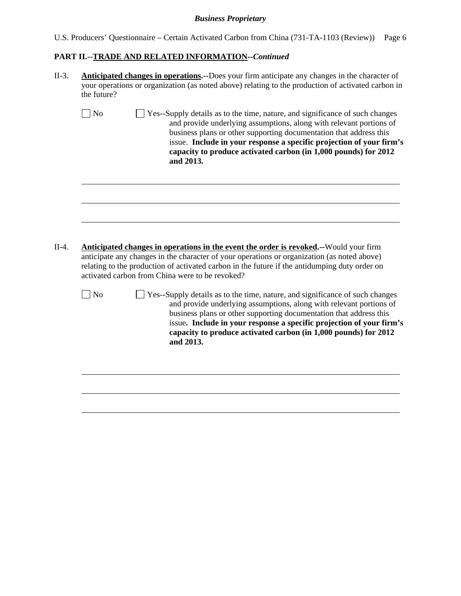|  | U.S. Producers' Questionnaire – Certain Activated Carbon from China (731-TA-1103 (Review)) Page 6 |  |  |  |
|--|---------------------------------------------------------------------------------------------------|--|--|--|
|  |                                                                                                   |  |  |  |

# **PART II.--TRADE AND RELATED INFORMATION***--Continued*

| II-3.   | <b>Anticipated changes in operations.</b> --Does your firm anticipate any changes in the character of<br>your operations or organization (as noted above) relating to the production of activated carbon in<br>the future?                                                                                                                                                                          |  |  |  |  |
|---------|-----------------------------------------------------------------------------------------------------------------------------------------------------------------------------------------------------------------------------------------------------------------------------------------------------------------------------------------------------------------------------------------------------|--|--|--|--|
|         | N <sub>o</sub><br>Yes--Supply details as to the time, nature, and significance of such changes<br>and provide underlying assumptions, along with relevant portions of<br>business plans or other supporting documentation that address this<br>issue. Include in your response a specific projection of your firm's<br>capacity to produce activated carbon (in 1,000 pounds) for 2012<br>and 2013. |  |  |  |  |
| $II-4.$ | <b>Anticipated changes in operations in the event the order is revoked.</b> --Would your firm<br>anticipate any changes in the character of your operations or organization (as noted above)<br>relating to the production of activated carbon in the future if the antidumping duty order on<br>activated carbon from China were to be revoked?                                                    |  |  |  |  |
|         | N <sub>o</sub><br>Yes--Supply details as to the time, nature, and significance of such changes<br>and provide underlying assumptions, along with relevant portions of<br>business plans or other supporting documentation that address this<br>issue. Include in your response a specific projection of your firm's<br>capacity to produce activated carbon (in 1,000 pounds) for 2012<br>and 2013. |  |  |  |  |
|         |                                                                                                                                                                                                                                                                                                                                                                                                     |  |  |  |  |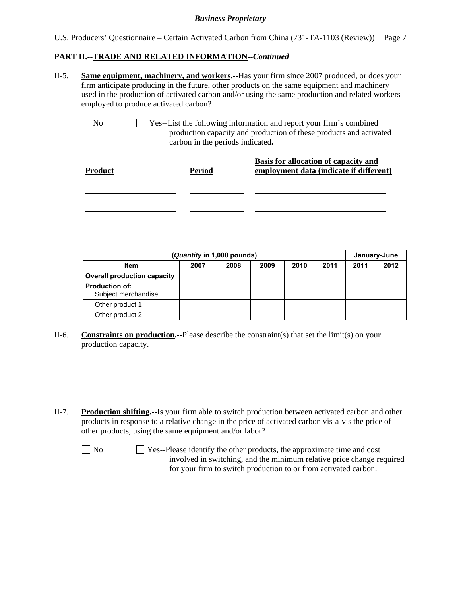## **PART II.--TRADE AND RELATED INFORMATION***--Continued*

II-5. **Same equipment, machinery, and workers.--**Has your firm since 2007 produced, or does your firm anticipate producing in the future, other products on the same equipment and machinery used in the production of activated carbon and/or using the same production and related workers employed to produce activated carbon?

l

l

No Yes--List the following information and report your firm's combined production capacity and production of these products and activated carbon in the periods indicated**.**

| <b>Product</b> | <b>Period</b> | Basis for allocation of capacity and<br>employment data (indicate if different) |
|----------------|---------------|---------------------------------------------------------------------------------|
|                |               |                                                                                 |
|                |               |                                                                                 |
|                |               |                                                                                 |

|                                              | (Quantity in 1,000 pounds) |      |      |      |      | January-June |      |
|----------------------------------------------|----------------------------|------|------|------|------|--------------|------|
| Item                                         | 2007                       | 2008 | 2009 | 2010 | 2011 | 2011         | 2012 |
| <b>Overall production capacity</b>           |                            |      |      |      |      |              |      |
| <b>Production of:</b><br>Subject merchandise |                            |      |      |      |      |              |      |
| Other product 1                              |                            |      |      |      |      |              |      |
| Other product 2                              |                            |      |      |      |      |              |      |

- II-6. **Constraints on production.--**Please describe the constraint(s) that set the limit(s) on your production capacity.
- II-7. **Production shifting.--**Is your firm able to switch production between activated carbon and other products in response to a relative change in the price of activated carbon vis-a-vis the price of other products, using the same equipment and/or labor?

| N <sub>o</sub> | $\Box$ Yes--Please identify the other products, the approximate time and cost |
|----------------|-------------------------------------------------------------------------------|
|                | involved in switching, and the minimum relative price change required         |
|                | for your firm to switch production to or from activated carbon.               |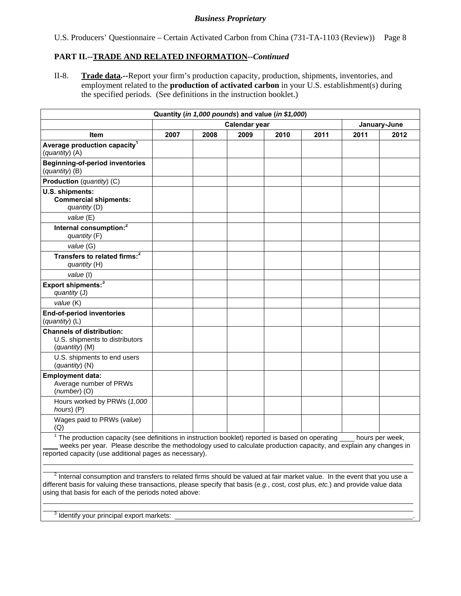U.S. Producers' Questionnaire – Certain Activated Carbon from China (731-TA-1103 (Review)) Page 8

## **PART II.--TRADE AND RELATED INFORMATION***--Continued*

II-8. **Trade data.--**Report your firm's production capacity, production, shipments, inventories, and employment related to the **production of activated carbon** in your U.S. establishment(s) during the specified periods. (See definitions in the instruction booklet.)

| Quantity (in 1,000 pounds) and value (in \$1,000)                                                                                                                                                                                                                                                         |      |      |               |      |      |      |              |
|-----------------------------------------------------------------------------------------------------------------------------------------------------------------------------------------------------------------------------------------------------------------------------------------------------------|------|------|---------------|------|------|------|--------------|
|                                                                                                                                                                                                                                                                                                           |      |      | Calendar year |      |      |      | January-June |
| <b>Item</b>                                                                                                                                                                                                                                                                                               | 2007 | 2008 | 2009          | 2010 | 2011 | 2011 | 2012         |
| Average production capacity <sup>1</sup><br>(quantity) (A)                                                                                                                                                                                                                                                |      |      |               |      |      |      |              |
| <b>Beginning-of-period inventories</b><br>(quantity) (B)                                                                                                                                                                                                                                                  |      |      |               |      |      |      |              |
| <b>Production</b> (quantity) (C)                                                                                                                                                                                                                                                                          |      |      |               |      |      |      |              |
| U.S. shipments:<br><b>Commercial shipments:</b><br>quantity (D)                                                                                                                                                                                                                                           |      |      |               |      |      |      |              |
| value (E)                                                                                                                                                                                                                                                                                                 |      |      |               |      |      |      |              |
| Internal consumption: <sup>2</sup><br>quantity (F)                                                                                                                                                                                                                                                        |      |      |               |      |      |      |              |
| value (G)                                                                                                                                                                                                                                                                                                 |      |      |               |      |      |      |              |
| Transfers to related firms: <sup>2</sup><br>quantity (H)                                                                                                                                                                                                                                                  |      |      |               |      |      |      |              |
| value (I)                                                                                                                                                                                                                                                                                                 |      |      |               |      |      |      |              |
| Export shipments: <sup>3</sup><br>quantity (J)                                                                                                                                                                                                                                                            |      |      |               |      |      |      |              |
| value (K)                                                                                                                                                                                                                                                                                                 |      |      |               |      |      |      |              |
| <b>End-of-period inventories</b><br>(quantity) (L)                                                                                                                                                                                                                                                        |      |      |               |      |      |      |              |
| <b>Channels of distribution:</b><br>U.S. shipments to distributors<br>(quantity) (M)                                                                                                                                                                                                                      |      |      |               |      |      |      |              |
| U.S. shipments to end users<br>(quantity) (N)                                                                                                                                                                                                                                                             |      |      |               |      |      |      |              |
| <b>Employment data:</b><br>Average number of PRWs<br>$(number)$ (O)                                                                                                                                                                                                                                       |      |      |               |      |      |      |              |
| Hours worked by PRWs (1,000<br>hours) (P)                                                                                                                                                                                                                                                                 |      |      |               |      |      |      |              |
| Wages paid to PRWs (value)<br>(Q)                                                                                                                                                                                                                                                                         |      |      |               |      |      |      |              |
| $1$ The production capacity (see definitions in instruction booklet) reported is based on operating $\_\_$ hours per week,<br>weeks per year. Please describe the methodology used to calculate production capacity, and explain any changes in<br>reported capacity (use additional pages as necessary). |      |      |               |      |      |      |              |

 $^2$  Internal consumption and transfers to related firms should be valued at fair market value. In the event that you use a different basis for valuing these transactions, please specify that basis (*e.g.*, cost, cost plus, *etc.*) and provide value data using that basis for each of the periods noted above:

 $3$  Identify your principal export markets:  $\Box$ 

 $\overline{a}$ 

 $\overline{a}$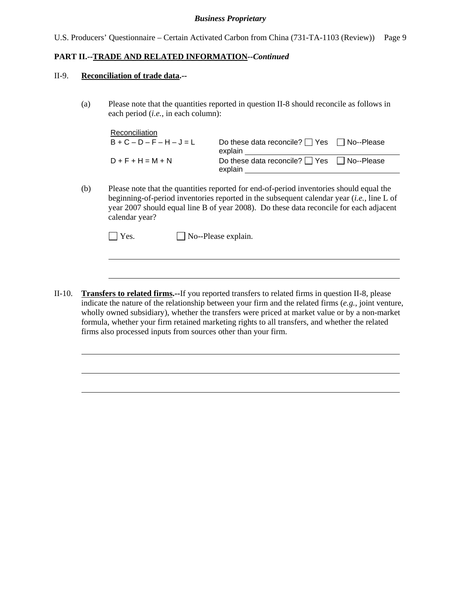#### **PART II.--TRADE AND RELATED INFORMATION***--Continued*

#### II-9. **Reconciliation of trade data.--**

l

l

(a) Please note that the quantities reported in question II-8 should reconcile as follows in each period (*i.e.*, in each column):

| Reconciliation      |                                                                  |  |
|---------------------|------------------------------------------------------------------|--|
| $B+C-D-F-H-J=L$     | Do these data reconcile? $\Box$ Yes $\Box$ No--Please<br>explain |  |
| $D + F + H = M + N$ | Do these data reconcile? $\Box$ Yes $\Box$ No--Please<br>explain |  |

(b) Please note that the quantities reported for end-of-period inventories should equal the beginning-of-period inventories reported in the subsequent calendar year (*i.e.*, line L of year 2007 should equal line B of year 2008). Do these data reconcile for each adjacent calendar year?

| $\Box$ Yes. | $\Box$ No--Please explain. |
|-------------|----------------------------|
|-------------|----------------------------|

II-10. **Transfers to related firms.--**If you reported transfers to related firms in question II-8, please indicate the nature of the relationship between your firm and the related firms (*e.g.*, joint venture, wholly owned subsidiary), whether the transfers were priced at market value or by a non-market formula, whether your firm retained marketing rights to all transfers, and whether the related firms also processed inputs from sources other than your firm.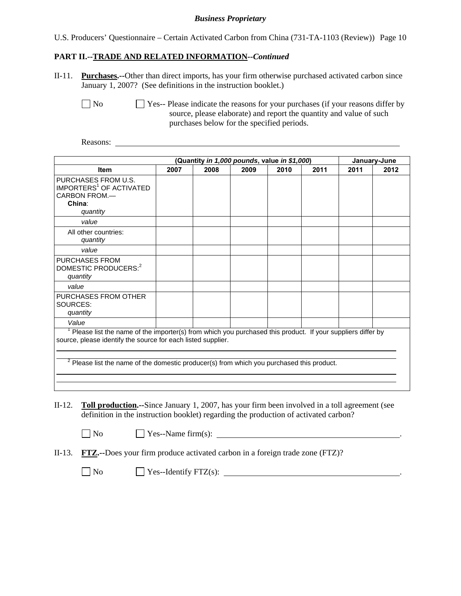U.S. Producers' Questionnaire – Certain Activated Carbon from China (731-TA-1103 (Review)) Page 10

## **PART II.--TRADE AND RELATED INFORMATION***--Continued*

II-11. **Purchases.--**Other than direct imports, has your firm otherwise purchased activated carbon since January 1, 2007? (See definitions in the instruction booklet.)

 $\Box$  No  $\Box$  Yes-- Please indicate the reasons for your purchases (if your reasons differ by source, please elaborate) and report the quantity and value of such purchases below for the specified periods.

Reasons:

| (Quantity in 1,000 pounds, value in \$1,000)<br>January-June                                                                                                                                                                                                               |      |      |      |      |      |      |      |
|----------------------------------------------------------------------------------------------------------------------------------------------------------------------------------------------------------------------------------------------------------------------------|------|------|------|------|------|------|------|
| <b>Item</b>                                                                                                                                                                                                                                                                | 2007 | 2008 | 2009 | 2010 | 2011 | 2011 | 2012 |
| PURCHASES FROM U.S.<br>IMPORTERS <sup>1</sup> OF ACTIVATED<br>CARBON FROM.-<br>China:<br>quantity                                                                                                                                                                          |      |      |      |      |      |      |      |
| value                                                                                                                                                                                                                                                                      |      |      |      |      |      |      |      |
| All other countries:<br>quantity                                                                                                                                                                                                                                           |      |      |      |      |      |      |      |
| value                                                                                                                                                                                                                                                                      |      |      |      |      |      |      |      |
| <b>PURCHASES FROM</b><br>DOMESTIC PRODUCERS: <sup>2</sup><br>quantity                                                                                                                                                                                                      |      |      |      |      |      |      |      |
| value                                                                                                                                                                                                                                                                      |      |      |      |      |      |      |      |
| PURCHASES FROM OTHER<br>SOURCES:<br>quantity                                                                                                                                                                                                                               |      |      |      |      |      |      |      |
| Value                                                                                                                                                                                                                                                                      |      |      |      |      |      |      |      |
| Please list the name of the importer(s) from which you purchased this product. If your suppliers differ by<br>source, please identify the source for each listed supplier.<br>۷<br>Please list the name of the domestic producer(s) from which you purchased this product. |      |      |      |      |      |      |      |

II-12. **Toll production.--**Since January 1, 2007, has your firm been involved in a toll agreement (see definition in the instruction booklet) regarding the production of activated carbon?

- 
- $\Box$  No  $\Box$  Yes--Name firm(s):  $\Box$
- II-13. **FTZ.--**Does your firm produce activated carbon in a foreign trade zone (FTZ)?

 $\Box$  No  $\Box$  Yes--Identify FTZ(s):  $\Box$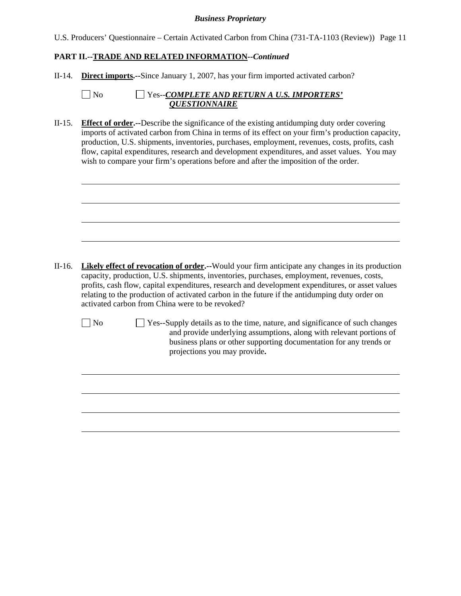| U.S. Producers' Questionnaire - Certain Activated Carbon from China (731-TA-1103 (Review)) Page 11 |  |  |  |  |  |  |  |  |
|----------------------------------------------------------------------------------------------------|--|--|--|--|--|--|--|--|
|----------------------------------------------------------------------------------------------------|--|--|--|--|--|--|--|--|

## **PART II.--TRADE AND RELATED INFORMATION***--Continued*

II-14. **Direct imports.--**Since January 1, 2007, has your firm imported activated carbon?

| $\Box$ No | $\Box$ Yes--COMPLETE AND RETURN A U.S. IMPORTERS' |
|-----------|---------------------------------------------------|
|           | <b><i>OUESTIONNAIRE</i></b>                       |

II-15. **Effect of order.--**Describe the significance of the existing antidumping duty order covering imports of activated carbon from China in terms of its effect on your firm's production capacity, production, U.S. shipments, inventories, purchases, employment, revenues, costs, profits, cash flow, capital expenditures, research and development expenditures, and asset values. You may wish to compare your firm's operations before and after the imposition of the order.

II-16. **Likely effect of revocation of order.--**Would your firm anticipate any changes in its production capacity, production, U.S. shipments, inventories, purchases, employment, revenues, costs, profits, cash flow, capital expenditures, research and development expenditures, or asset values relating to the production of activated carbon in the future if the antidumping duty order on activated carbon from China were to be revoked?

l

l

No  $\Box$  Yes--Supply details as to the time, nature, and significance of such changes and provide underlying assumptions, along with relevant portions of business plans or other supporting documentation for any trends or projections you may provide**.**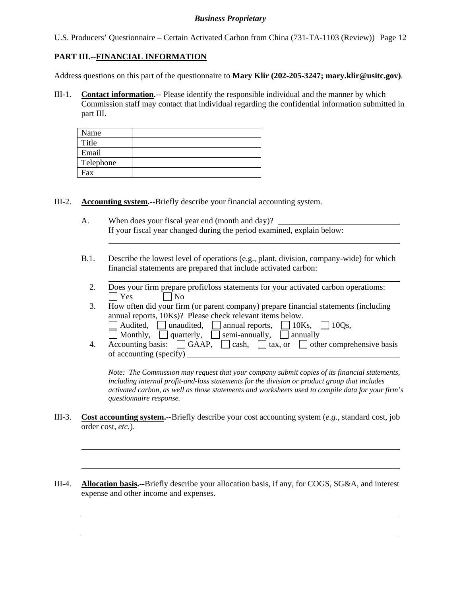U.S. Producers' Questionnaire – Certain Activated Carbon from China (731-TA-1103 (Review)) Page 12

## **PART III.--FINANCIAL INFORMATION**

l

 $\overline{a}$ 

l

Address questions on this part of the questionnaire to **Mary Klir (202-205-3247; mary.klir@usitc.gov)**.

III-1. **Contact information.**-- Please identify the responsible individual and the manner by which Commission staff may contact that individual regarding the confidential information submitted in part III.

| Name      |  |
|-----------|--|
| Title     |  |
| Email     |  |
| Telephone |  |
| Fax       |  |

III-2. **Accounting system.--**Briefly describe your financial accounting system.

- A. When does your fiscal year end (month and day)? If your fiscal year changed during the period examined, explain below: l
- B.1. Describe the lowest level of operations (e.g., plant, division, company-wide) for which financial statements are prepared that include activated carbon:
	- 2. Does your firm prepare profit/loss statements for your activated carbon operatioms:  $|$   $|$   $Y$ es  $|$   $|$   $|$   $N$ o
	- 3. How often did your firm (or parent company) prepare financial statements (including annual reports, 10Ks)? Please check relevant items below.
		- $\Box$  Audited,  $\Box$  unaudited,  $\Box$  annual reports,  $\Box$  10Ks,  $\Box$  10Qs,
		- Monthly,  $\Box$  quarterly,  $\Box$  semi-annually,  $\Box$  annually
	- 4. Accounting basis:  $\Box$  GAAP,  $\Box$  cash,  $\Box$  tax, or  $\Box$  other comprehensive basis of accounting (specify)

*Note: The Commission may request that your company submit copies of its financial statements, including internal profit-and-loss statements for the division or product group that includes activated carbon, as well as those statements and worksheets used to compile data for your firm's questionnaire response.* 

- III-3. **Cost accounting system.--**Briefly describe your cost accounting system (*e.g.*, standard cost, job order cost, *etc.*).
- III-4. **Allocation basis.--**Briefly describe your allocation basis, if any, for COGS, SG&A, and interest expense and other income and expenses.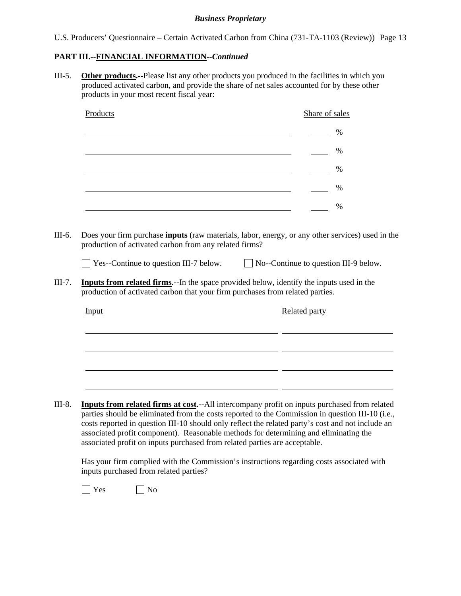| U.S. Producers' Questionnaire – Certain Activated Carbon from China (731-TA-1103 (Review)) Page 13 |  |  |  |  |
|----------------------------------------------------------------------------------------------------|--|--|--|--|
|                                                                                                    |  |  |  |  |

## **PART III.--FINANCIAL INFORMATION***--Continued*

III-5. **Other products.--**Please list any other products you produced in the facilities in which you produced activated carbon, and provide the share of net sales accounted for by these other products in your most recent fiscal year:

| Products                                      | Share of sales                                                                                                                                                                    |
|-----------------------------------------------|-----------------------------------------------------------------------------------------------------------------------------------------------------------------------------------|
|                                               | $\frac{0}{0}$                                                                                                                                                                     |
|                                               | $\frac{0}{0}$                                                                                                                                                                     |
|                                               | %                                                                                                                                                                                 |
|                                               | %<br><u> 1989 - Johann Barbara, martin amerikan basar dan berasal dalam basa dalam basar dalam basar dalam basa dalam</u>                                                         |
|                                               | $\frac{0}{0}$                                                                                                                                                                     |
|                                               |                                                                                                                                                                                   |
| $\Box$ Yes--Continue to question III-7 below. | $\Box$ No--Continue to question III-9 below.                                                                                                                                      |
|                                               | <b>Inputs from related firms.</b> --In the space provided below, identify the inputs used in the<br>production of activated carbon that your firm purchases from related parties. |
| Input                                         | <b>Related party</b>                                                                                                                                                              |
|                                               |                                                                                                                                                                                   |
|                                               |                                                                                                                                                                                   |
|                                               |                                                                                                                                                                                   |

 Has your firm complied with the Commission's instructions regarding costs associated with inputs purchased from related parties?

associated profit on inputs purchased from related parties are acceptable.

 $\bigcap$  Yes  $\bigcap$  No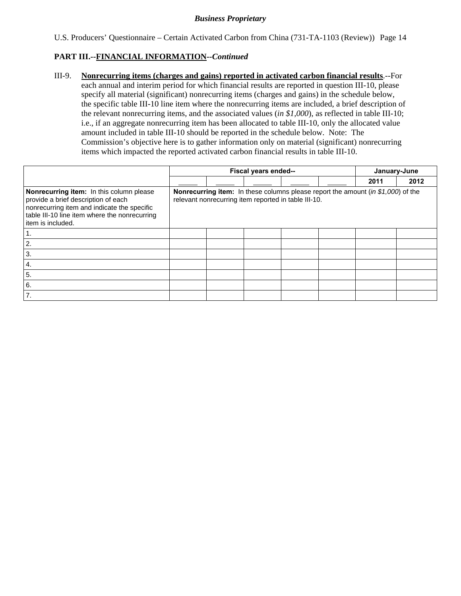U.S. Producers' Questionnaire – Certain Activated Carbon from China (731-TA-1103 (Review)) Page 14

## **PART III.--FINANCIAL INFORMATION***--Continued*

III-9. **Nonrecurring items (charges and gains) reported in activated carbon financial results**.--For each annual and interim period for which financial results are reported in question III-10, please specify all material (significant) nonrecurring items (charges and gains) in the schedule below, the specific table III-10 line item where the nonrecurring items are included, a brief description of the relevant nonrecurring items, and the associated values (*in \$1,000*), as reflected in table III-10; i.e., if an aggregate nonrecurring item has been allocated to table III-10, only the allocated value amount included in table III-10 should be reported in the schedule below. Note: The Commission's objective here is to gather information only on material (significant) nonrecurring items which impacted the reported activated carbon financial results in table III-10.

|                                                                                                                                                                                                        |  | Fiscal years ended--                                 |  | January-June                                                                     |      |
|--------------------------------------------------------------------------------------------------------------------------------------------------------------------------------------------------------|--|------------------------------------------------------|--|----------------------------------------------------------------------------------|------|
|                                                                                                                                                                                                        |  |                                                      |  | 2011                                                                             | 2012 |
| Nonrecurring item: In this column please<br>provide a brief description of each<br>nonrecurring item and indicate the specific<br>table III-10 line item where the nonrecurring<br>l item is included. |  | relevant nonrecurring item reported in table III-10. |  | Nonrecurring item: In these columns please report the amount (in \$1,000) of the |      |
|                                                                                                                                                                                                        |  |                                                      |  |                                                                                  |      |
| 2.                                                                                                                                                                                                     |  |                                                      |  |                                                                                  |      |
| 3.                                                                                                                                                                                                     |  |                                                      |  |                                                                                  |      |
| 4.                                                                                                                                                                                                     |  |                                                      |  |                                                                                  |      |
| 5.                                                                                                                                                                                                     |  |                                                      |  |                                                                                  |      |
| 6.                                                                                                                                                                                                     |  |                                                      |  |                                                                                  |      |
| 7.                                                                                                                                                                                                     |  |                                                      |  |                                                                                  |      |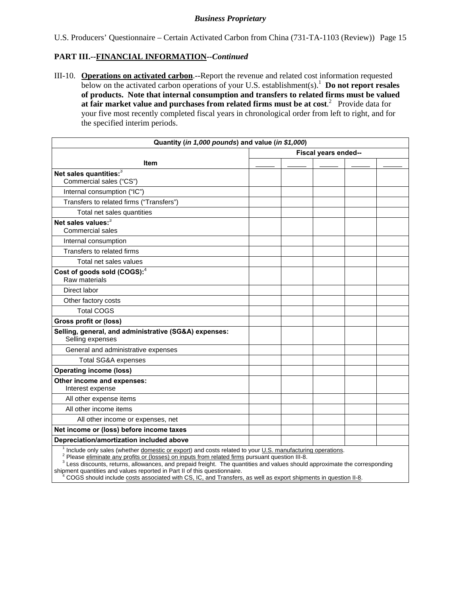U.S. Producers' Questionnaire – Certain Activated Carbon from China (731-TA-1103 (Review)) Page 15

## **PART III.--FINANCIAL INFORMATION***--Continued*

III-10. **Operations on activated carbon**.--Report the revenue and related cost information requested below on the activated carbon operations of your U.S. establishment(s).<sup>1</sup> Do not report resales **of products. Note that internal consumption and transfers to related firms must be valued**  at fair market value and purchases from related firms must be at cost.<sup>2</sup> Provide data for your five most recently completed fiscal years in chronological order from left to right, and for the specified interim periods.

| Quantity (in 1,000 pounds) and value (in \$1,000)                                                                                                                                                          |  |                      |  |  |  |
|------------------------------------------------------------------------------------------------------------------------------------------------------------------------------------------------------------|--|----------------------|--|--|--|
|                                                                                                                                                                                                            |  | Fiscal years ended-- |  |  |  |
| Item                                                                                                                                                                                                       |  |                      |  |  |  |
| Net sales quantities: $3$                                                                                                                                                                                  |  |                      |  |  |  |
| Commercial sales ("CS")                                                                                                                                                                                    |  |                      |  |  |  |
| Internal consumption ("IC")                                                                                                                                                                                |  |                      |  |  |  |
| Transfers to related firms ("Transfers")                                                                                                                                                                   |  |                      |  |  |  |
| Total net sales quantities                                                                                                                                                                                 |  |                      |  |  |  |
| Net sales values: <sup>3</sup>                                                                                                                                                                             |  |                      |  |  |  |
| <b>Commercial sales</b>                                                                                                                                                                                    |  |                      |  |  |  |
| Internal consumption                                                                                                                                                                                       |  |                      |  |  |  |
| Transfers to related firms                                                                                                                                                                                 |  |                      |  |  |  |
| Total net sales values                                                                                                                                                                                     |  |                      |  |  |  |
| Cost of goods sold (COGS): <sup>4</sup>                                                                                                                                                                    |  |                      |  |  |  |
| Raw materials                                                                                                                                                                                              |  |                      |  |  |  |
| Direct labor                                                                                                                                                                                               |  |                      |  |  |  |
| Other factory costs                                                                                                                                                                                        |  |                      |  |  |  |
| <b>Total COGS</b>                                                                                                                                                                                          |  |                      |  |  |  |
| Gross profit or (loss)                                                                                                                                                                                     |  |                      |  |  |  |
| Selling, general, and administrative (SG&A) expenses:<br>Selling expenses                                                                                                                                  |  |                      |  |  |  |
| General and administrative expenses                                                                                                                                                                        |  |                      |  |  |  |
| <b>Total SG&amp;A expenses</b>                                                                                                                                                                             |  |                      |  |  |  |
| <b>Operating income (loss)</b>                                                                                                                                                                             |  |                      |  |  |  |
| Other income and expenses:                                                                                                                                                                                 |  |                      |  |  |  |
| Interest expense                                                                                                                                                                                           |  |                      |  |  |  |
| All other expense items                                                                                                                                                                                    |  |                      |  |  |  |
| All other income items                                                                                                                                                                                     |  |                      |  |  |  |
| All other income or expenses, net                                                                                                                                                                          |  |                      |  |  |  |
| Net income or (loss) before income taxes                                                                                                                                                                   |  |                      |  |  |  |
| Depreciation/amortization included above                                                                                                                                                                   |  |                      |  |  |  |
| Include only sales (whether domestic or export) and costs related to your U.S. manufacturing operations.<br>Please eliminate any profits or (losses) on inputs from related firms pursuant question III-8. |  |                      |  |  |  |

<sup>3</sup> Less discounts, returns, allowances, and prepaid freight. The quantities and values should approximate the corresponding shipment quantities and values reported in Part II of this questionnaire.

 <sup>4</sup> COGS should include costs associated with CS, IC, and Transfers, as well as export shipments in question II-8.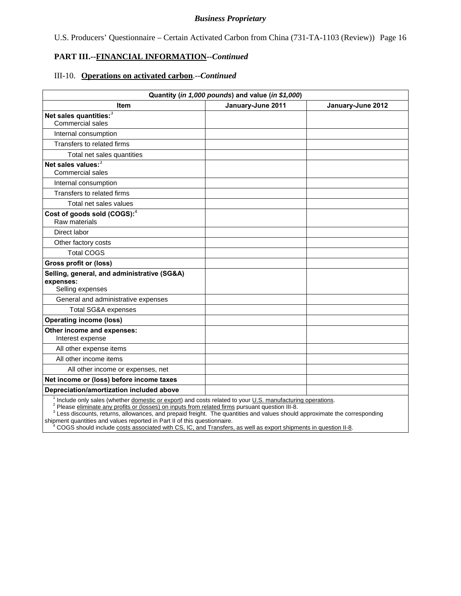U.S. Producers' Questionnaire – Certain Activated Carbon from China (731-TA-1103 (Review)) Page 16

## **PART III.--FINANCIAL INFORMATION***--Continued*

#### III-10. **Operations on activated carbon**.--*Continued*

| Quantity (in 1,000 pounds) and value (in \$1,000)             |                                                |                   |  |  |  |  |
|---------------------------------------------------------------|------------------------------------------------|-------------------|--|--|--|--|
| Item                                                          | January-June 2011                              | January-June 2012 |  |  |  |  |
| Net sales quantities: <sup>3</sup><br><b>Commercial sales</b> |                                                |                   |  |  |  |  |
|                                                               |                                                |                   |  |  |  |  |
| Internal consumption                                          |                                                |                   |  |  |  |  |
| Transfers to related firms                                    |                                                |                   |  |  |  |  |
| Total net sales quantities                                    |                                                |                   |  |  |  |  |
| Net sales values: <sup>3</sup><br><b>Commercial sales</b>     |                                                |                   |  |  |  |  |
| Internal consumption                                          |                                                |                   |  |  |  |  |
| Transfers to related firms                                    |                                                |                   |  |  |  |  |
| Total net sales values                                        |                                                |                   |  |  |  |  |
| Cost of goods sold (COGS): <sup>4</sup><br>Raw materials      |                                                |                   |  |  |  |  |
| Direct labor                                                  |                                                |                   |  |  |  |  |
| Other factory costs                                           |                                                |                   |  |  |  |  |
| <b>Total COGS</b>                                             |                                                |                   |  |  |  |  |
| <b>Gross profit or (loss)</b>                                 |                                                |                   |  |  |  |  |
| Selling, general, and administrative (SG&A)<br>expenses:      |                                                |                   |  |  |  |  |
| Selling expenses                                              |                                                |                   |  |  |  |  |
| General and administrative expenses                           |                                                |                   |  |  |  |  |
| <b>Total SG&amp;A expenses</b>                                |                                                |                   |  |  |  |  |
| <b>Operating income (loss)</b>                                |                                                |                   |  |  |  |  |
| Other income and expenses:<br>Interest expense                |                                                |                   |  |  |  |  |
| All other expense items                                       |                                                |                   |  |  |  |  |
| All other income items                                        |                                                |                   |  |  |  |  |
| All other income or expenses, net                             |                                                |                   |  |  |  |  |
| Net income or (loss) before income taxes                      |                                                |                   |  |  |  |  |
| Depreciation/amortization included above<br>1.                | <b>Service</b><br>$\cdot$ $\sim$<br>$\epsilon$ |                   |  |  |  |  |

<sup>1</sup> Include only sales (whether *domestic or export*) and costs related to your <u>U.S. manufacturing operations</u>.<br><sup>2</sup> Please *eliminate any profits or (losses) on inputs from related firms pursuant question III-8.* 

<sup>3</sup> Less discounts, returns, allowances, and prepaid freight. The quantities and values should approximate the corresponding shipment quantities and values reported in Part II of this questionnaire.

<sup>4</sup> COGS should include costs associated with CS, IC, and Transfers, as well as export shipments in question II-8.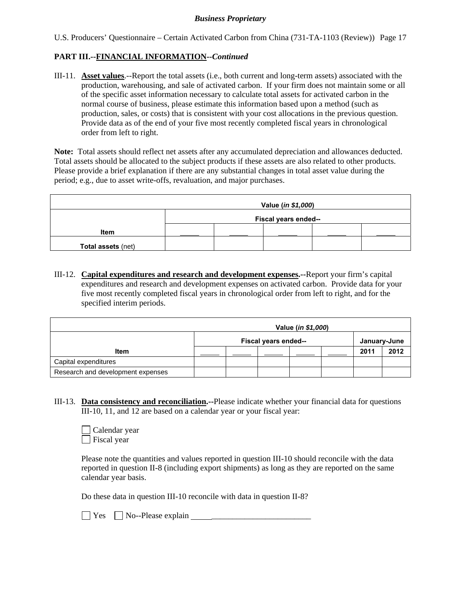U.S. Producers' Questionnaire – Certain Activated Carbon from China (731-TA-1103 (Review)) Page 17

## **PART III.--FINANCIAL INFORMATION***--Continued*

III-11. **Asset values**.--Report the total assets (i.e., both current and long-term assets) associated with the production, warehousing, and sale of activated carbon. If your firm does not maintain some or all of the specific asset information necessary to calculate total assets for activated carbon in the normal course of business, please estimate this information based upon a method (such as production, sales, or costs) that is consistent with your cost allocations in the previous question. Provide data as of the end of your five most recently completed fiscal years in chronological order from left to right.

**Note:** Total assets should reflect net assets after any accumulated depreciation and allowances deducted. Total assets should be allocated to the subject products if these assets are also related to other products. Please provide a brief explanation if there are any substantial changes in total asset value during the period; e.g., due to asset write-offs, revaluation, and major purchases.

| Value (in \$1,000) |                      |  |  |  |  |
|--------------------|----------------------|--|--|--|--|
|                    | Fiscal years ended-- |  |  |  |  |
| <b>Item</b>        |                      |  |  |  |  |
| Total assets (net) |                      |  |  |  |  |

III-12. **Capital expenditures and research and development expenses.--**Report your firm's capital expenditures and research and development expenses on activated carbon. Provide data for your five most recently completed fiscal years in chronological order from left to right, and for the specified interim periods.

|                                   | Value ( <i>in \$1,000</i> )          |  |  |  |  |      |      |
|-----------------------------------|--------------------------------------|--|--|--|--|------|------|
|                                   | Fiscal years ended--<br>January-June |  |  |  |  |      |      |
| <b>Item</b>                       |                                      |  |  |  |  | 2011 | 2012 |
| Capital expenditures              |                                      |  |  |  |  |      |      |
| Research and development expenses |                                      |  |  |  |  |      |      |

III-13. **Data consistency and reconciliation.--**Please indicate whether your financial data for questions III-10, 11, and 12 are based on a calendar year or your fiscal year:



Please note the quantities and values reported in question III-10 should reconcile with the data reported in question II-8 (including export shipments) as long as they are reported on the same calendar year basis.

Do these data in question III-10 reconcile with data in question II-8?

 $\Box$  Yes  $\Box$  No--Please explain  $\Box$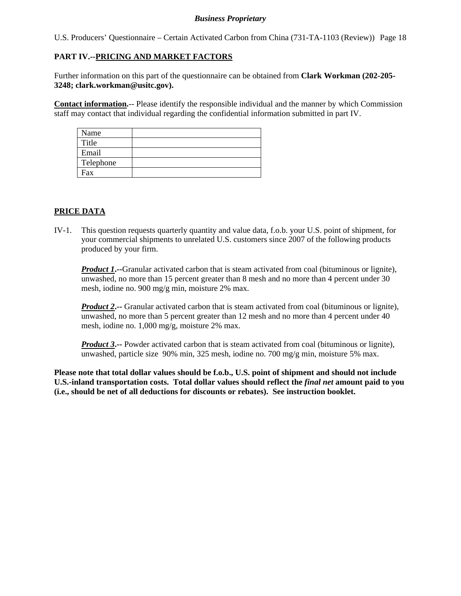U.S. Producers' Questionnaire – Certain Activated Carbon from China (731-TA-1103 (Review)) Page 18

## **PART IV.--PRICING AND MARKET FACTORS**

Further information on this part of the questionnaire can be obtained from **Clark Workman (202-205- 3248; clark.workman@usitc.gov).** 

**Contact information.**-- Please identify the responsible individual and the manner by which Commission staff may contact that individual regarding the confidential information submitted in part IV.

| Name      |  |
|-----------|--|
| Title     |  |
| Email     |  |
| Telephone |  |
| Fax       |  |

## **PRICE DATA**

IV-1. This question requests quarterly quantity and value data, f.o.b. your U.S. point of shipment, for your commercial shipments to unrelated U.S. customers since 2007 of the following products produced by your firm.

**Product 1.** --Granular activated carbon that is steam activated from coal (bituminous or lignite), unwashed, no more than 15 percent greater than 8 mesh and no more than 4 percent under 30 mesh, iodine no. 900 mg/g min, moisture 2% max.

*Product 2*<sup>2</sup>-- Granular activated carbon that is steam activated from coal (bituminous or lignite), unwashed, no more than 5 percent greater than 12 mesh and no more than 4 percent under 40 mesh, iodine no. 1,000 mg/g, moisture 2% max.

*Product 3*. Powder activated carbon that is steam activated from coal (bituminous or lignite), unwashed, particle size 90% min, 325 mesh, iodine no. 700 mg/g min, moisture 5% max.

**Please note that total dollar values should be f.o.b., U.S. point of shipment and should not include U.S.-inland transportation costs. Total dollar values should reflect the** *final net* **amount paid to you (i.e., should be net of all deductions for discounts or rebates). See instruction booklet.**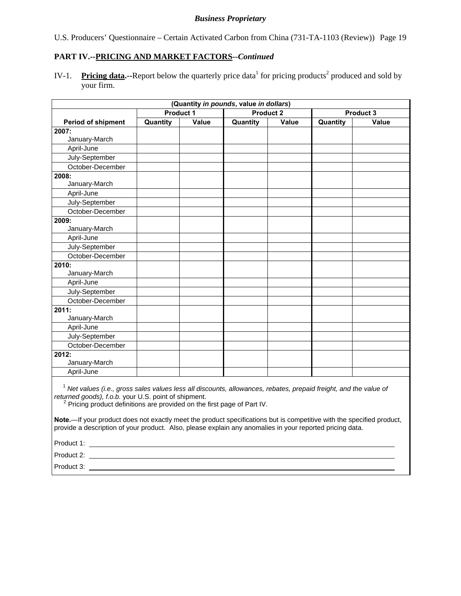U.S. Producers' Questionnaire – Certain Activated Carbon from China (731-TA-1103 (Review)) Page 19

## **PART IV.--PRICING AND MARKET FACTORS***--Continued*

IV-1. Pricing data.--Report below the quarterly price data<sup>1</sup> for pricing products<sup>2</sup> produced and sold by your firm.

| (Quantity in pounds, value in dollars) |                  |       |                  |       |          |           |
|----------------------------------------|------------------|-------|------------------|-------|----------|-----------|
|                                        | <b>Product 1</b> |       | <b>Product 2</b> |       |          | Product 3 |
| Period of shipment                     | Quantity         | Value | Quantity         | Value | Quantity | Value     |
| 2007:                                  |                  |       |                  |       |          |           |
| January-March                          |                  |       |                  |       |          |           |
| April-June                             |                  |       |                  |       |          |           |
| July-September                         |                  |       |                  |       |          |           |
| October-December                       |                  |       |                  |       |          |           |
| 2008:                                  |                  |       |                  |       |          |           |
| January-March                          |                  |       |                  |       |          |           |
| April-June                             |                  |       |                  |       |          |           |
| July-September                         |                  |       |                  |       |          |           |
| October-December                       |                  |       |                  |       |          |           |
| 2009:                                  |                  |       |                  |       |          |           |
| January-March                          |                  |       |                  |       |          |           |
| April-June                             |                  |       |                  |       |          |           |
| July-September                         |                  |       |                  |       |          |           |
| October-December                       |                  |       |                  |       |          |           |
| 2010:                                  |                  |       |                  |       |          |           |
| January-March                          |                  |       |                  |       |          |           |
| April-June                             |                  |       |                  |       |          |           |
| July-September                         |                  |       |                  |       |          |           |
| October-December                       |                  |       |                  |       |          |           |
| 2011:                                  |                  |       |                  |       |          |           |
| January-March                          |                  |       |                  |       |          |           |
| April-June                             |                  |       |                  |       |          |           |
| July-September                         |                  |       |                  |       |          |           |
| October-December                       |                  |       |                  |       |          |           |
| 2012:                                  |                  |       |                  |       |          |           |
| January-March                          |                  |       |                  |       |          |           |
| April-June                             |                  |       |                  |       |          |           |
|                                        |                  |       |                  |       |          |           |

<sup>1</sup> *Net values (i.e., gross sales values less all discounts, allowances, rebates, prepaid freight, and the value of returned goods), f.o.b.* your U.S. point of shipment.

<sup>2</sup> Pricing product definitions are provided on the first page of Part IV.

**Note.**—If your product does not exactly meet the product specifications but is competitive with the specified product, provide a description of your product. Also, please explain any anomalies in your reported pricing data.

Product 1:

Product 2:

Product 3: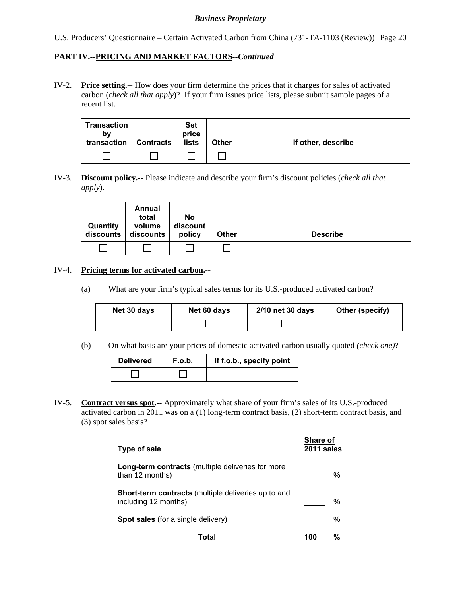## **PART IV.--PRICING AND MARKET FACTORS***--Continued*

IV-2. **Price setting.--** How does your firm determine the prices that it charges for sales of activated carbon (*check all that apply*)? If your firm issues price lists, please submit sample pages of a recent list.

| Transaction<br>b٧<br>transaction | <b>Contracts</b> | <b>Set</b><br>price<br><b>lists</b> | <b>Other</b> | If other, describe |
|----------------------------------|------------------|-------------------------------------|--------------|--------------------|
|                                  |                  |                                     |              |                    |

IV-3. **Discount policy.--** Please indicate and describe your firm's discount policies (*check all that apply*).

| Quantity<br>discounts | Annual<br>total<br>volume<br>discounts | No<br>discount<br>policy | <b>Other</b> | <b>Describe</b> |
|-----------------------|----------------------------------------|--------------------------|--------------|-----------------|
|                       |                                        |                          |              |                 |

#### IV-4. **Pricing terms for activated carbon.--**

(a) What are your firm's typical sales terms for its U.S.-produced activated carbon?

| Net 30 days | Net 60 days | 2/10 net 30 days | Other (specify) |
|-------------|-------------|------------------|-----------------|
|             |             |                  |                 |

(b) On what basis are your prices of domestic activated carbon usually quoted *(check one)*?

| <b>Delivered</b> | F.o.b. | If f.o.b., specify point |
|------------------|--------|--------------------------|
|                  |        |                          |

IV-5. **Contract versus spot.--** Approximately what share of your firm's sales of its U.S.-produced activated carbon in 2011 was on a (1) long-term contract basis, (2) short-term contract basis, and (3) spot sales basis?

| Type of sale                                                                | <b>Share of</b><br>2011 sales |   |
|-----------------------------------------------------------------------------|-------------------------------|---|
| <b>Long-term contracts</b> (multiple deliveries for more<br>than 12 months) |                               | % |
| Short-term contracts (multiple deliveries up to and<br>including 12 months) |                               | ℅ |
| <b>Spot sales</b> (for a single delivery)                                   |                               | % |
| Total                                                                       | 100                           | % |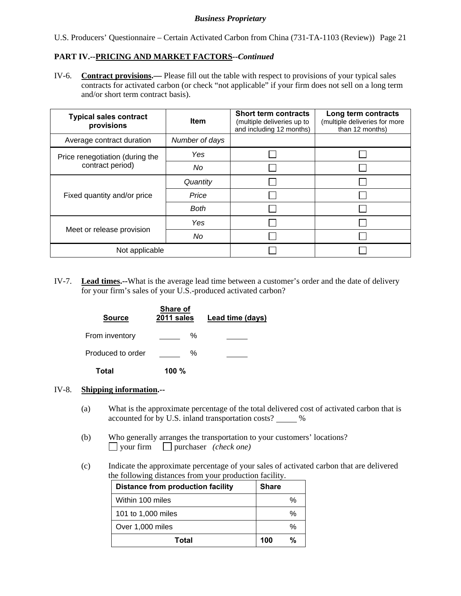U.S. Producers' Questionnaire – Certain Activated Carbon from China (731-TA-1103 (Review)) Page 21

## **PART IV.--PRICING AND MARKET FACTORS***--Continued*

IV-6. **Contract provisions.—** Please fill out the table with respect to provisions of your typical sales contracts for activated carbon (or check "not applicable" if your firm does not sell on a long term and/or short term contract basis).

| <b>Typical sales contract</b><br>provisions | <b>Item</b>    | <b>Short term contracts</b><br>(multiple deliveries up to<br>and including 12 months) | Long term contracts<br>(multiple deliveries for more<br>than 12 months) |
|---------------------------------------------|----------------|---------------------------------------------------------------------------------------|-------------------------------------------------------------------------|
| Average contract duration                   | Number of days |                                                                                       |                                                                         |
| Price renegotiation (during the             | Yes            |                                                                                       |                                                                         |
| contract period)                            | No             |                                                                                       |                                                                         |
|                                             | Quantity       |                                                                                       |                                                                         |
| Fixed quantity and/or price                 | Price          |                                                                                       |                                                                         |
|                                             | <b>Both</b>    |                                                                                       |                                                                         |
|                                             | Yes            |                                                                                       |                                                                         |
| Meet or release provision                   | No             |                                                                                       |                                                                         |
| Not applicable                              |                |                                                                                       |                                                                         |

IV-7. **Lead times.--**What is the average lead time between a customer's order and the date of delivery for your firm's sales of your U.S.-produced activated carbon?

| <b>Source</b>     | Share of<br>2011 sales | Lead time (days) |
|-------------------|------------------------|------------------|
| From inventory    | ℅                      |                  |
| Produced to order | ℅                      |                  |
| Total             | 100 $%$                |                  |

#### IV-8. **Shipping information.--**

- (a) What is the approximate percentage of the total delivered cost of activated carbon that is accounted for by U.S. inland transportation costs? \_\_\_\_\_ %
- (b) Who generally arranges the transportation to your customers' locations? your firm purchaser *(check one)*
- (c) Indicate the approximate percentage of your sales of activated carbon that are delivered the following distances from your production facility.

| <b>Distance from production facility</b> | <b>Share</b> |
|------------------------------------------|--------------|
| Within 100 miles                         | %            |
| 101 to 1,000 miles                       | %            |
| Over 1,000 miles                         | %            |
| Total                                    | %<br>100     |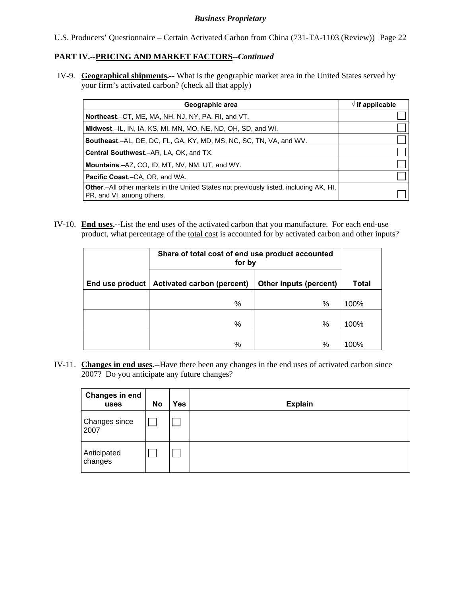U.S. Producers' Questionnaire – Certain Activated Carbon from China (731-TA-1103 (Review)) Page 22

## **PART IV.--PRICING AND MARKET FACTORS***--Continued*

IV-9. **Geographical shipments.--** What is the geographic market area in the United States served by your firm's activated carbon? (check all that apply)

| Geographic area                                                                                                             | $\sqrt{ }$ if applicable |
|-----------------------------------------------------------------------------------------------------------------------------|--------------------------|
| Northeast.–CT, ME, MA, NH, NJ, NY, PA, RI, and VT.                                                                          |                          |
| <b>Midwest.</b> –IL, IN, IA, KS, MI, MN, MO, NE, ND, OH, SD, and WI.                                                        |                          |
| <b>Southeast.–AL, DE, DC, FL, GA, KY, MD, MS, NC, SC, TN, VA, and WV.</b>                                                   |                          |
| <b>Central Southwest.–AR, LA, OK, and TX.</b>                                                                               |                          |
| <b>Mountains.-AZ, CO, ID, MT, NV, NM, UT, and WY.</b>                                                                       |                          |
| <b>Pacific Coast.–CA, OR, and WA.</b>                                                                                       |                          |
| <b>Other</b> - All other markets in the United States not previously listed, including AK, HI,<br>PR, and VI, among others. |                          |

IV-10. **End uses.--**List the end uses of the activated carbon that you manufacture. For each end-use product, what percentage of the total cost is accounted for by activated carbon and other inputs?

|                 | Share of total cost of end use product accounted<br>for by |                        |              |
|-----------------|------------------------------------------------------------|------------------------|--------------|
| End use product | <b>Activated carbon (percent)</b>                          | Other inputs (percent) | <b>Total</b> |
|                 | $\%$                                                       | %                      | 100%         |
|                 | %                                                          | $\%$                   | 100%         |
|                 | %                                                          | %                      | 100%         |

IV-11. **Changes in end uses.--**Have there been any changes in the end uses of activated carbon since 2007? Do you anticipate any future changes?

| <b>Changes in end</b><br>uses | No | Yes | <b>Explain</b> |
|-------------------------------|----|-----|----------------|
| Changes since<br>2007         |    |     |                |
| Anticipated<br>changes        |    |     |                |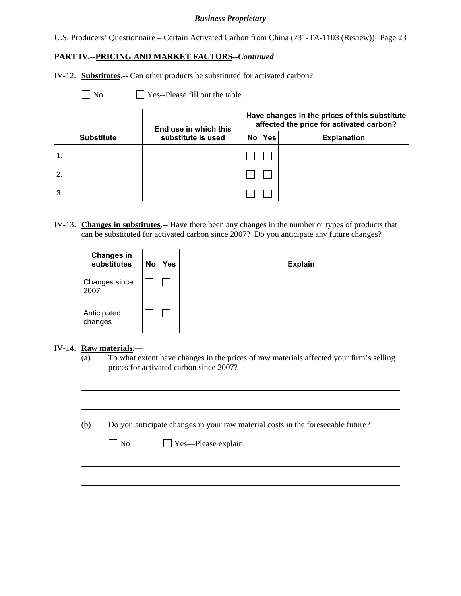U.S. Producers' Questionnaire – Certain Activated Carbon from China (731-TA-1103 (Review)) Page 23

#### **PART IV.--PRICING AND MARKET FACTORS***--Continued*

IV-12. **Substitutes.--** Can other products be substituted for activated carbon?

 $\Box$  No  $\Box$  Yes--Please fill out the table.

|    |                   | End use in which this |    | Have changes in the prices of this substitute<br>affected the price for activated carbon? |                    |  |  |  |
|----|-------------------|-----------------------|----|-------------------------------------------------------------------------------------------|--------------------|--|--|--|
|    | <b>Substitute</b> | substitute is used    | No | Yes                                                                                       | <b>Explanation</b> |  |  |  |
|    |                   |                       |    |                                                                                           |                    |  |  |  |
| 2. |                   |                       |    |                                                                                           |                    |  |  |  |
| 3. |                   |                       |    |                                                                                           |                    |  |  |  |

IV-13. **Changes in substitutes.--** Have there been any changes in the number or types of products that can be substituted for activated carbon since 2007? Do you anticipate any future changes?

| <b>Changes in</b><br>substitutes | No | <b>Yes</b> | <b>Explain</b> |
|----------------------------------|----|------------|----------------|
| Changes since<br>2007            |    |            |                |
| Anticipated<br>changes           |    |            |                |

#### IV-14. **Raw materials.—**

l

 $\overline{a}$ 

(a) To what extent have changes in the prices of raw materials affected your firm's selling prices for activated carbon since 2007?

(b) Do you anticipate changes in your raw material costs in the foreseeable future?

| $\Box$ No | $\Box$ Yes—Please explain. |
|-----------|----------------------------|
|-----------|----------------------------|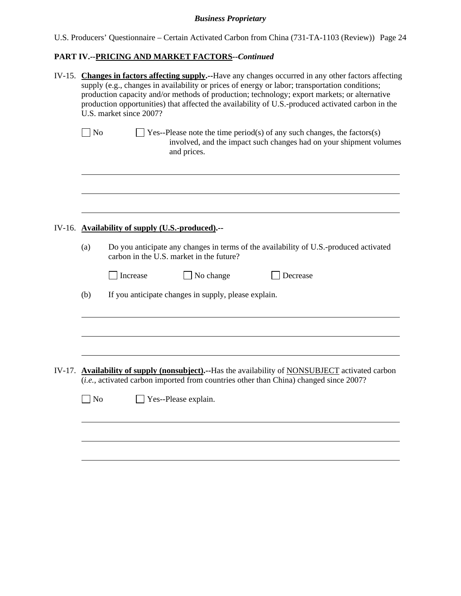U.S. Producers' Questionnaire – Certain Activated Carbon from China (731-TA-1103 (Review)) Page 24

# **PART IV.--PRICING AND MARKET FACTORS***--Continued*

| IV-15. Changes in factors affecting supply.--Have any changes occurred in any other factors affecting<br>supply (e.g., changes in availability or prices of energy or labor; transportation conditions;<br>production capacity and/or methods of production; technology; export markets; or alternative<br>production opportunities) that affected the availability of U.S.-produced activated carbon in the<br>U.S. market since 2007? |                                                                                                                                                                                           |  |  |  |  |  |  |
|-----------------------------------------------------------------------------------------------------------------------------------------------------------------------------------------------------------------------------------------------------------------------------------------------------------------------------------------------------------------------------------------------------------------------------------------|-------------------------------------------------------------------------------------------------------------------------------------------------------------------------------------------|--|--|--|--|--|--|
| $\exists$ No                                                                                                                                                                                                                                                                                                                                                                                                                            | $\blacksquare$ Yes--Please note the time period(s) of any such changes, the factors(s)<br>involved, and the impact such changes had on your shipment volumes<br>and prices.               |  |  |  |  |  |  |
|                                                                                                                                                                                                                                                                                                                                                                                                                                         |                                                                                                                                                                                           |  |  |  |  |  |  |
| IV-16. Availability of supply (U.S.-produced).--                                                                                                                                                                                                                                                                                                                                                                                        |                                                                                                                                                                                           |  |  |  |  |  |  |
| (a)                                                                                                                                                                                                                                                                                                                                                                                                                                     | Do you anticipate any changes in terms of the availability of U.S.-produced activated<br>carbon in the U.S. market in the future?                                                         |  |  |  |  |  |  |
|                                                                                                                                                                                                                                                                                                                                                                                                                                         | Decrease<br>Increase<br>No change                                                                                                                                                         |  |  |  |  |  |  |
| (b)                                                                                                                                                                                                                                                                                                                                                                                                                                     | If you anticipate changes in supply, please explain.                                                                                                                                      |  |  |  |  |  |  |
|                                                                                                                                                                                                                                                                                                                                                                                                                                         |                                                                                                                                                                                           |  |  |  |  |  |  |
|                                                                                                                                                                                                                                                                                                                                                                                                                                         | IV-17. Availability of supply (nonsubject).--Has the availability of NONSUBJECT activated carbon<br>(i.e., activated carbon imported from countries other than China) changed since 2007? |  |  |  |  |  |  |
| ] No                                                                                                                                                                                                                                                                                                                                                                                                                                    | Yes--Please explain.                                                                                                                                                                      |  |  |  |  |  |  |
|                                                                                                                                                                                                                                                                                                                                                                                                                                         |                                                                                                                                                                                           |  |  |  |  |  |  |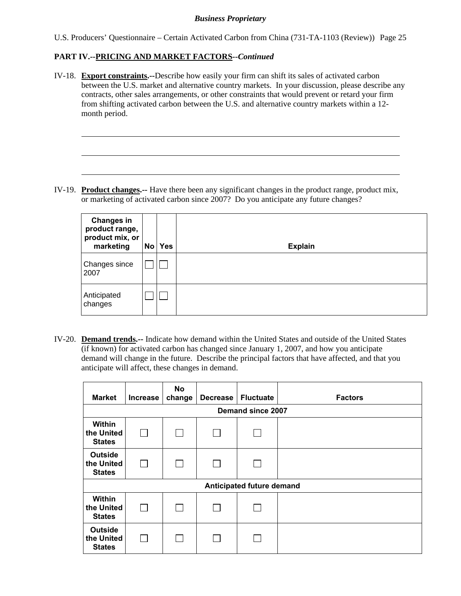U.S. Producers' Questionnaire – Certain Activated Carbon from China (731-TA-1103 (Review)) Page 25

## **PART IV.--PRICING AND MARKET FACTORS***--Continued*

l

IV-18. **Export constraints.--**Describe how easily your firm can shift its sales of activated carbon between the U.S. market and alternative country markets. In your discussion, please describe any contracts, other sales arrangements, or other constraints that would prevent or retard your firm from shifting activated carbon between the U.S. and alternative country markets within a 12 month period.

IV-19. **Product changes.--** Have there been any significant changes in the product range, product mix, or marketing of activated carbon since 2007? Do you anticipate any future changes?

| <b>Changes in</b><br>product range,<br>product mix, or<br>marketing | No | <b>Yes</b> | <b>Explain</b> |
|---------------------------------------------------------------------|----|------------|----------------|
| Changes since<br>2007                                               |    |            |                |
| Anticipated<br>changes                                              |    |            |                |

IV-20. **Demand trends.--** Indicate how demand within the United States and outside of the United States (if known) for activated carbon has changed since January 1, 2007, and how you anticipate demand will change in the future. Describe the principal factors that have affected, and that you anticipate will affect, these changes in demand.

| <b>Market</b>                                 | <b>Increase</b> | <b>No</b><br>change | <b>Decrease</b> | <b>Fluctuate</b>          | <b>Factors</b> |  |  |  |  |  |
|-----------------------------------------------|-----------------|---------------------|-----------------|---------------------------|----------------|--|--|--|--|--|
| Demand since 2007                             |                 |                     |                 |                           |                |  |  |  |  |  |
| Within<br>the United<br><b>States</b>         | $\perp$         |                     | $\Box$          |                           |                |  |  |  |  |  |
| <b>Outside</b><br>the United<br><b>States</b> | $\perp$         |                     | $\mathbf{L}$    |                           |                |  |  |  |  |  |
|                                               |                 |                     |                 | Anticipated future demand |                |  |  |  |  |  |
| Within<br>the United<br><b>States</b>         | $\mathbf{L}$    |                     |                 |                           |                |  |  |  |  |  |
| <b>Outside</b><br>the United<br><b>States</b> |                 |                     |                 |                           |                |  |  |  |  |  |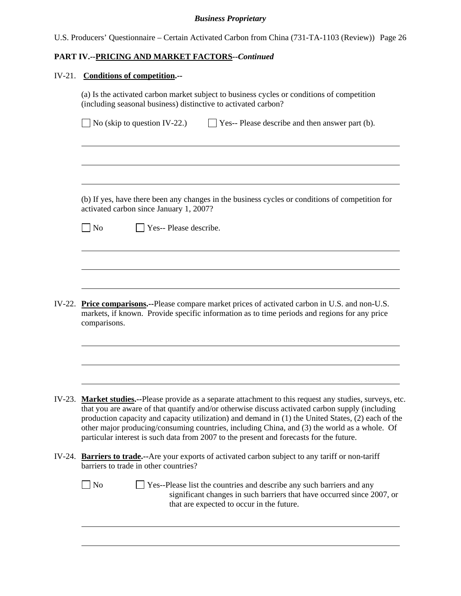| U.S. Producers' Questionnaire – Certain Activated Carbon from China (731-TA-1103 (Review)) Page 26 |  |  |  |  |
|----------------------------------------------------------------------------------------------------|--|--|--|--|
|                                                                                                    |  |  |  |  |

# **PART IV.--PRICING AND MARKET FACTORS***--Continued*

# IV-21. **Conditions of competition.--**

l

|        | (a) Is the activated carbon market subject to business cycles or conditions of competition<br>(including seasonal business) distinctive to activated carbon?                                                                                                                                                                                                                                                                                                                                            |  |  |  |
|--------|---------------------------------------------------------------------------------------------------------------------------------------------------------------------------------------------------------------------------------------------------------------------------------------------------------------------------------------------------------------------------------------------------------------------------------------------------------------------------------------------------------|--|--|--|
|        | $\Box$ No (skip to question IV-22.)<br>Yes-- Please describe and then answer part (b).                                                                                                                                                                                                                                                                                                                                                                                                                  |  |  |  |
|        |                                                                                                                                                                                                                                                                                                                                                                                                                                                                                                         |  |  |  |
|        | (b) If yes, have there been any changes in the business cycles or conditions of competition for<br>activated carbon since January 1, 2007?                                                                                                                                                                                                                                                                                                                                                              |  |  |  |
|        | No<br>Yes-- Please describe.                                                                                                                                                                                                                                                                                                                                                                                                                                                                            |  |  |  |
|        |                                                                                                                                                                                                                                                                                                                                                                                                                                                                                                         |  |  |  |
|        |                                                                                                                                                                                                                                                                                                                                                                                                                                                                                                         |  |  |  |
| IV-22. | <b>Price comparisons.</b> --Please compare market prices of activated carbon in U.S. and non-U.S.<br>markets, if known. Provide specific information as to time periods and regions for any price<br>comparisons.                                                                                                                                                                                                                                                                                       |  |  |  |
|        |                                                                                                                                                                                                                                                                                                                                                                                                                                                                                                         |  |  |  |
| IV-23. | Market studies.--Please provide as a separate attachment to this request any studies, surveys, etc.<br>that you are aware of that quantify and/or otherwise discuss activated carbon supply (including<br>production capacity and capacity utilization) and demand in (1) the United States, (2) each of the<br>other major producing/consuming countries, including China, and (3) the world as a whole. Of<br>particular interest is such data from 2007 to the present and forecasts for the future. |  |  |  |
| IV-24. | Barriers to trade.-- Are your exports of activated carbon subject to any tariff or non-tariff<br>barriers to trade in other countries?                                                                                                                                                                                                                                                                                                                                                                  |  |  |  |
|        | N <sub>0</sub><br>Yes--Please list the countries and describe any such barriers and any                                                                                                                                                                                                                                                                                                                                                                                                                 |  |  |  |

significant changes in such barriers that have occurred since 2007, or that are expected to occur in the future.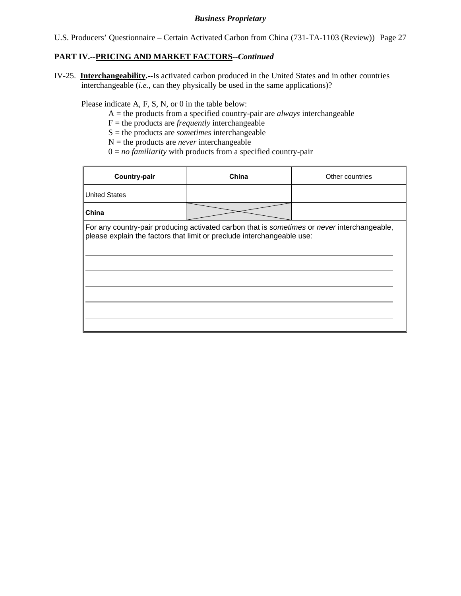U.S. Producers' Questionnaire – Certain Activated Carbon from China (731-TA-1103 (Review)) Page 27

## **PART IV.--PRICING AND MARKET FACTORS***--Continued*

IV-25. **Interchangeability.--**Is activated carbon produced in the United States and in other countries interchangeable (*i.e.*, can they physically be used in the same applications)?

Please indicate A, F, S, N, or 0 in the table below:

- A = the products from a specified country-pair are *always* interchangeable
- $F =$  the products are *frequently* interchangeable
- S = the products are *sometimes* interchangeable
- $N =$  the products are *never* interchangeable
- $0 = no$  *familiarity* with products from a specified country-pair

| Country-pair                                                                                                                                                          | China | Other countries |  |  |  |
|-----------------------------------------------------------------------------------------------------------------------------------------------------------------------|-------|-----------------|--|--|--|
| <b>United States</b>                                                                                                                                                  |       |                 |  |  |  |
| China                                                                                                                                                                 |       |                 |  |  |  |
| For any country-pair producing activated carbon that is sometimes or never interchangeable,<br>please explain the factors that limit or preclude interchangeable use: |       |                 |  |  |  |